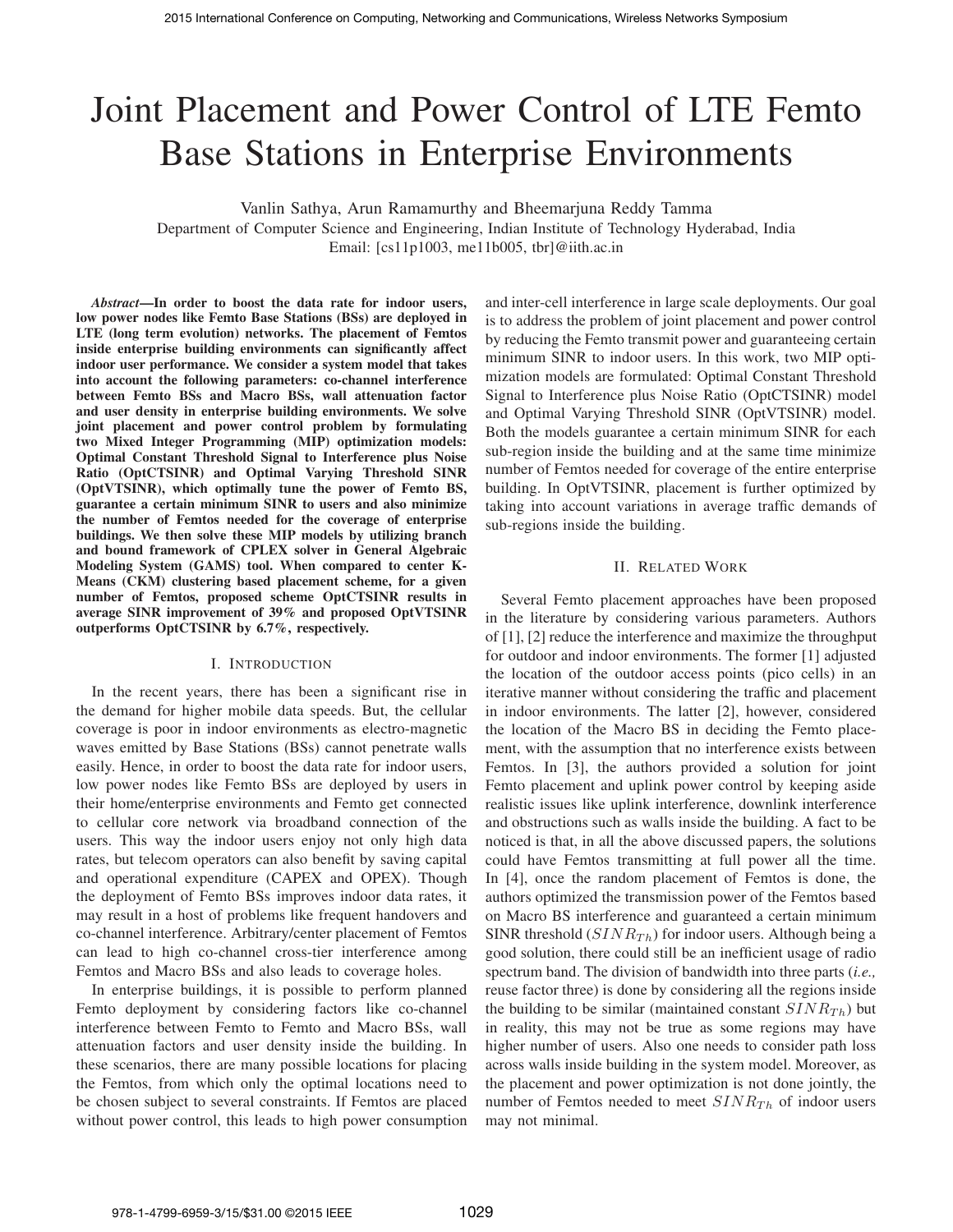# Joint Placement and Power Control of LTE Femto Base Stations in Enterprise Environments

Vanlin Sathya, Arun Ramamurthy and Bheemarjuna Reddy Tamma

Department of Computer Science and Engineering, Indian Institute of Technology Hyderabad, India Email: [cs11p1003, me11b005, tbr]@iith.ac.in

*Abstract***—In order to boost the data rate for indoor users, low power nodes like Femto Base Stations (BSs) are deployed in LTE (long term evolution) networks. The placement of Femtos inside enterprise building environments can significantly affect indoor user performance. We consider a system model that takes into account the following parameters: co-channel interference between Femto BSs and Macro BSs, wall attenuation factor and user density in enterprise building environments. We solve joint placement and power control problem by formulating two Mixed Integer Programming (MIP) optimization models: Optimal Constant Threshold Signal to Interference plus Noise Ratio (OptCTSINR) and Optimal Varying Threshold SINR (OptVTSINR), which optimally tune the power of Femto BS, guarantee a certain minimum SINR to users and also minimize the number of Femtos needed for the coverage of enterprise buildings. We then solve these MIP models by utilizing branch and bound framework of CPLEX solver in General Algebraic Modeling System (GAMS) tool. When compared to center K-Means (CKM) clustering based placement scheme, for a given number of Femtos, proposed scheme OptCTSINR results in average SINR improvement of 39% and proposed OptVTSINR outperforms OptCTSINR by 6.7%, respectively.**

#### I. INTRODUCTION

In the recent years, there has been a significant rise in the demand for higher mobile data speeds. But, the cellular coverage is poor in indoor environments as electro-magnetic waves emitted by Base Stations (BSs) cannot penetrate walls easily. Hence, in order to boost the data rate for indoor users, low power nodes like Femto BSs are deployed by users in their home/enterprise environments and Femto get connected to cellular core network via broadband connection of the users. This way the indoor users enjoy not only high data rates, but telecom operators can also benefit by saving capital and operational expenditure (CAPEX and OPEX). Though the deployment of Femto BSs improves indoor data rates, it may result in a host of problems like frequent handovers and co-channel interference. Arbitrary/center placement of Femtos can lead to high co-channel cross-tier interference among Femtos and Macro BSs and also leads to coverage holes.

In enterprise buildings, it is possible to perform planned Femto deployment by considering factors like co-channel interference between Femto to Femto and Macro BSs, wall attenuation factors and user density inside the building. In these scenarios, there are many possible locations for placing the Femtos, from which only the optimal locations need to be chosen subject to several constraints. If Femtos are placed without power control, this leads to high power consumption and inter-cell interference in large scale deployments. Our goal is to address the problem of joint placement and power control by reducing the Femto transmit power and guaranteeing certain minimum SINR to indoor users. In this work, two MIP optimization models are formulated: Optimal Constant Threshold Signal to Interference plus Noise Ratio (OptCTSINR) model and Optimal Varying Threshold SINR (OptVTSINR) model. Both the models guarantee a certain minimum SINR for each sub-region inside the building and at the same time minimize number of Femtos needed for coverage of the entire enterprise building. In OptVTSINR, placement is further optimized by taking into account variations in average traffic demands of sub-regions inside the building.

# II. RELATED WORK

Several Femto placement approaches have been proposed in the literature by considering various parameters. Authors of [1], [2] reduce the interference and maximize the throughput for outdoor and indoor environments. The former [1] adjusted the location of the outdoor access points (pico cells) in an iterative manner without considering the traffic and placement in indoor environments. The latter [2], however, considered the location of the Macro BS in deciding the Femto placement, with the assumption that no interference exists between Femtos. In [3], the authors provided a solution for joint Femto placement and uplink power control by keeping aside realistic issues like uplink interference, downlink interference and obstructions such as walls inside the building. A fact to be noticed is that, in all the above discussed papers, the solutions could have Femtos transmitting at full power all the time. In [4], once the random placement of Femtos is done, the authors optimized the transmission power of the Femtos based on Macro BS interference and guaranteed a certain minimum SINR threshold  $(SINR_{Th})$  for indoor users. Although being a good solution, there could still be an inefficient usage of radio spectrum band. The division of bandwidth into three parts (*i.e.,* reuse factor three) is done by considering all the regions inside the building to be similar (maintained constant  $SINR_{Th}$ ) but in reality, this may not be true as some regions may have higher number of users. Also one needs to consider path loss across walls inside building in the system model. Moreover, as the placement and power optimization is not done jointly, the number of Femtos needed to meet  $SINR_{Th}$  of indoor users may not minimal.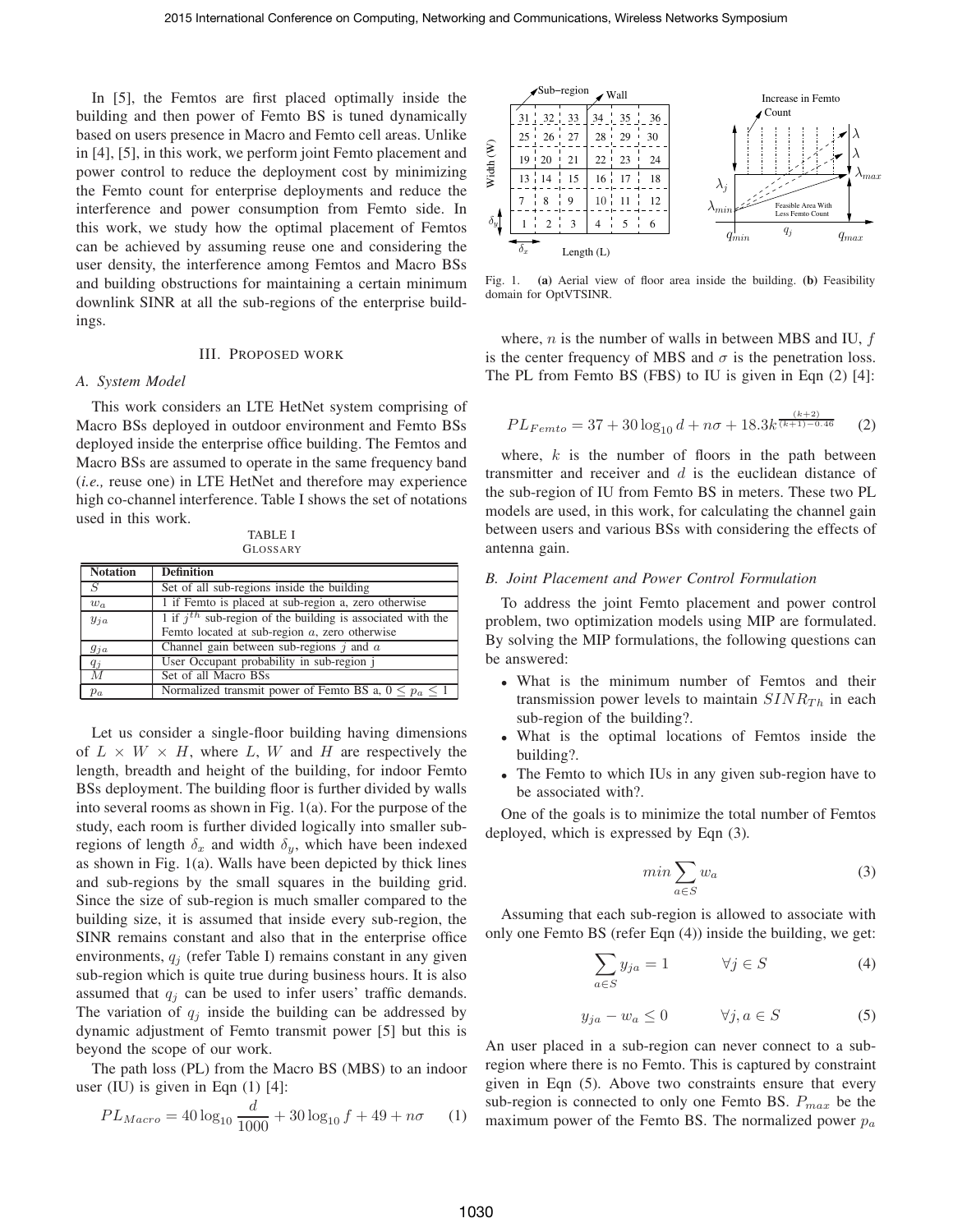In [5], the Femtos are first placed optimally inside the building and then power of Femto BS is tuned dynamically based on users presence in Macro and Femto cell areas. Unlike in [4], [5], in this work, we perform joint Femto placement and power control to reduce the deployment cost by minimizing the Femto count for enterprise deployments and reduce the interference and power consumption from Femto side. In this work, we study how the optimal placement of Femtos can be achieved by assuming reuse one and considering the user density, the interference among Femtos and Macro BSs and building obstructions for maintaining a certain minimum downlink SINR at all the sub-regions of the enterprise buildings.

# III. PROPOSED WORK

## *A. System Model*

This work considers an LTE HetNet system comprising of Macro BSs deployed in outdoor environment and Femto BSs deployed inside the enterprise office building. The Femtos and Macro BSs are assumed to operate in the same frequency band (*i.e.,* reuse one) in LTE HetNet and therefore may experience high co-channel interference. Table I shows the set of notations used in this work.

TABLE I GLOSSARY

| <b>Notation</b>  | <b>Definition</b>                                                                                                   |
|------------------|---------------------------------------------------------------------------------------------------------------------|
| $\overline{S}$   | Set of all sub-regions inside the building                                                                          |
| $w_a$            | 1 if Femto is placed at sub-region a, zero otherwise                                                                |
| $y_{ja}$         | 1 if $i^{th}$ sub-region of the building is associated with the<br>Femto located at sub-region $a$ , zero otherwise |
| $g_{ja}$         | Channel gain between sub-regions $j$ and $a$                                                                        |
| $q_i$            | User Occupant probability in sub-region j                                                                           |
| $\boldsymbol{M}$ | Set of all Macro BSs                                                                                                |
| $p_a$            | Normalized transmit power of Femto BS a, $0 \leq p_a \leq 1$                                                        |

Let us consider a single-floor building having dimensions of  $L \times W \times H$ , where L, W and H are respectively the length, breadth and height of the building, for indoor Femto BSs deployment. The building floor is further divided by walls into several rooms as shown in Fig. 1(a). For the purpose of the study, each room is further divided logically into smaller subregions of length  $\delta_x$  and width  $\delta_y$ , which have been indexed as shown in Fig. 1(a). Walls have been depicted by thick lines and sub-regions by the small squares in the building grid. Since the size of sub-region is much smaller compared to the building size, it is assumed that inside every sub-region, the SINR remains constant and also that in the enterprise office environments,  $q_i$  (refer Table I) remains constant in any given sub-region which is quite true during business hours. It is also assumed that  $q_i$  can be used to infer users' traffic demands. The variation of  $q_i$  inside the building can be addressed by dynamic adjustment of Femto transmit power [5] but this is beyond the scope of our work.

The path loss (PL) from the Macro BS (MBS) to an indoor user (IU) is given in Eqn  $(1)$  [4]:

$$
PL_{Maccro} = 40 \log_{10} \frac{d}{1000} + 30 \log_{10} f + 49 + n\sigma \qquad (1)
$$



Fig. 1. **(a)** Aerial view of floor area inside the building. **(b)** Feasibility domain for OptVTSINR.

where,  $n$  is the number of walls in between MBS and IU,  $f$ is the center frequency of MBS and  $\sigma$  is the penetration loss. The PL from Femto BS (FBS) to IU is given in Eqn (2) [4]:

$$
PL_{Femto} = 37 + 30\log_{10}d + n\sigma + 18.3k^{\frac{(k+2)}{(k+1)-0.46}} \tag{2}
$$

where,  $k$  is the number of floors in the path between transmitter and receiver and  $d$  is the euclidean distance of the sub-region of IU from Femto BS in meters. These two PL models are used, in this work, for calculating the channel gain between users and various BSs with considering the effects of antenna gain.

## *B. Joint Placement and Power Control Formulation*

To address the joint Femto placement and power control problem, two optimization models using MIP are formulated. By solving the MIP formulations, the following questions can be answered:

- What is the minimum number of Femtos and their transmission power levels to maintain  $SINR_{Th}$  in each sub-region of the building?.
- What is the optimal locations of Femtos inside the building?.
- The Femto to which IUs in any given sub-region have to be associated with?.

One of the goals is to minimize the total number of Femtos deployed, which is expressed by Eqn (3).

$$
\min \sum_{a \in S} w_a \tag{3}
$$

Assuming that each sub-region is allowed to associate with only one Femto BS (refer Eqn (4)) inside the building, we get:

$$
\sum_{a \in S} y_{ja} = 1 \qquad \forall j \in S \tag{4}
$$

$$
y_{ja} - w_a \le 0 \qquad \forall j, a \in S \tag{5}
$$

An user placed in a sub-region can never connect to a subregion where there is no Femto. This is captured by constraint given in Eqn (5). Above two constraints ensure that every sub-region is connected to only one Femto BS.  $P_{max}$  be the maximum power of the Femto BS. The normalized power  $p_a$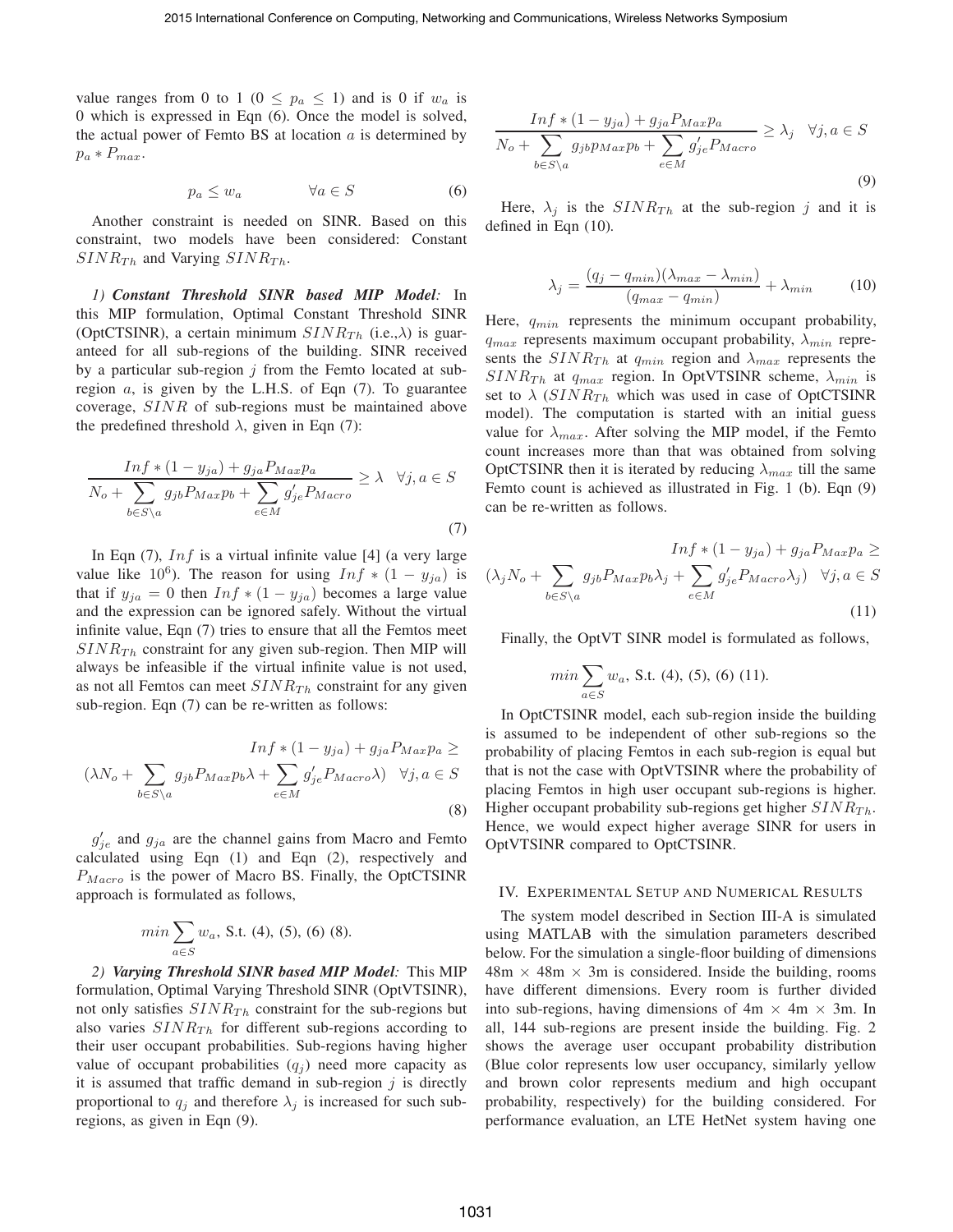value ranges from 0 to 1 ( $0 \leq p_a \leq 1$ ) and is 0 if  $w_a$  is 0 which is expressed in Eqn (6). Once the model is solved, the actual power of Femto BS at location  $a$  is determined by  $p_a * P_{max}.$ 

$$
p_a \le w_a \qquad \qquad \forall a \in S \tag{6}
$$

Another constraint is needed on SINR. Based on this constraint, two models have been considered: Constant  $SINR_{Th}$  and Varying  $SINR_{Th}$ .

*1) Constant Threshold SINR based MIP Model:* In this MIP formulation, Optimal Constant Threshold SINR (OptCTSINR), a certain minimum  $SINR_{Th}$  (i.e., $\lambda$ ) is guaranteed for all sub-regions of the building. SINR received by a particular sub-region  $i$  from the Femto located at subregion  $a$ , is given by the L.H.S. of Eqn  $(7)$ . To guarantee coverage, SINR of sub-regions must be maintained above the predefined threshold  $\lambda$ , given in Eqn (7):

$$
\frac{\operatorname{Inf} * (1 - y_{ja}) + g_{ja} P_{Max} p_a}{N_o + \sum_{b \in S \setminus a} g_{jb} P_{Max} p_b + \sum_{e \in M} g'_{je} P_{Max} e} \ge \lambda \quad \forall j, a \in S
$$
\n
$$
(7)
$$

In Eqn  $(7)$ , Inf is a virtual infinite value [4] (a very large value like 10<sup>6</sup>). The reason for using  $Inf * (1 - y_{ja})$  is that if  $y_{ja} = 0$  then  $Inf * (1 - y_{ja})$  becomes a large value and the expression can be ignored safely. Without the virtual infinite value, Eqn (7) tries to ensure that all the Femtos meet  $SINR_{Th}$  constraint for any given sub-region. Then MIP will always be infeasible if the virtual infinite value is not used, as not all Femtos can meet  $SINR_{Th}$  constraint for any given sub-region. Eqn (7) can be re-written as follows:

$$
Inf * (1 - y_{ja}) + g_{ja} P_{Max} p_a \ge
$$
  

$$
(\lambda N_o + \sum_{b \in S \setminus a} g_{jb} P_{Max} p_b \lambda + \sum_{e \in M} g'_{je} P_{Maxro} \lambda) \quad \forall j, a \in S
$$
  
(8)

 $g'_{je}$  and  $g_{ja}$  are the channel gains from Macro and Femto calculated using Eqn (1) and Eqn (2), respectively and  $P_{Macco}$  is the power of Macro BS. Finally, the OptCTSINR approach is formulated as follows,

$$
min \sum_{a \in S} w_a
$$
, S.t. (4), (5), (6) (8).

*2) Varying Threshold SINR based MIP Model:* This MIP formulation, Optimal Varying Threshold SINR (OptVTSINR), not only satisfies  $SINR_{Th}$  constraint for the sub-regions but also varies  $SINR_{Th}$  for different sub-regions according to their user occupant probabilities. Sub-regions having higher value of occupant probabilities  $(q_i)$  need more capacity as it is assumed that traffic demand in sub-region  $j$  is directly proportional to  $q_j$  and therefore  $\lambda_j$  is increased for such subregions, as given in Eqn (9).

$$
\frac{\operatorname{Inf} * (1 - y_{ja}) + g_{ja} P_{Max} p_a}{N_o + \sum_{b \in S \setminus a} g_{jb} p_{Max} p_b + \sum_{e \in M} g'_{je} P_{Maxro}} \ge \lambda_j \quad \forall j, a \in S
$$
\n(9)

Here,  $\lambda_j$  is the  $SINR_{Th}$  at the sub-region j and it is defined in Eqn (10).

$$
\lambda_j = \frac{(q_j - q_{min})(\lambda_{max} - \lambda_{min})}{(q_{max} - q_{min})} + \lambda_{min}
$$
 (10)

Here,  $q_{min}$  represents the minimum occupant probability,  $q_{max}$  represents maximum occupant probability,  $\lambda_{min}$  represents the  $SINR_{Th}$  at  $q_{min}$  region and  $\lambda_{max}$  represents the  $SINR_{Th}$  at  $q_{max}$  region. In OptVTSINR scheme,  $\lambda_{min}$  is set to  $\lambda$  (SINR<sub>Th</sub> which was used in case of OptCTSINR model). The computation is started with an initial guess value for  $\lambda_{max}$ . After solving the MIP model, if the Femto count increases more than that was obtained from solving OptCTSINR then it is iterated by reducing  $\lambda_{max}$  till the same Femto count is achieved as illustrated in Fig. 1 (b). Eqn (9) can be re-written as follows.

$$
Inf * (1 - y_{ja}) + g_{ja}P_{Max}p_a \ge
$$
  

$$
(\lambda_j N_o + \sum_{b \in S \setminus a} g_{jb}P_{Max}p_b \lambda_j + \sum_{e \in M} g'_{je}P_{Maxro} \lambda_j) \quad \forall j, a \in S
$$
  
(11)

Finally, the OptVT SINR model is formulated as follows,

$$
min \sum_{a \in S} w_a
$$
, S.t. (4), (5), (6) (11).

In OptCTSINR model, each sub-region inside the building is assumed to be independent of other sub-regions so the probability of placing Femtos in each sub-region is equal but that is not the case with OptVTSINR where the probability of placing Femtos in high user occupant sub-regions is higher. Higher occupant probability sub-regions get higher  $SINR_{Th}$ . Hence, we would expect higher average SINR for users in OptVTSINR compared to OptCTSINR.

#### IV. EXPERIMENTAL SETUP AND NUMERICAL RESULTS

The system model described in Section III-A is simulated using MATLAB with the simulation parameters described below. For the simulation a single-floor building of dimensions  $48m \times 48m \times 3m$  is considered. Inside the building, rooms have different dimensions. Every room is further divided into sub-regions, having dimensions of  $4m \times 4m \times 3m$ . In all, 144 sub-regions are present inside the building. Fig. 2 shows the average user occupant probability distribution (Blue color represents low user occupancy, similarly yellow and brown color represents medium and high occupant probability, respectively) for the building considered. For performance evaluation, an LTE HetNet system having one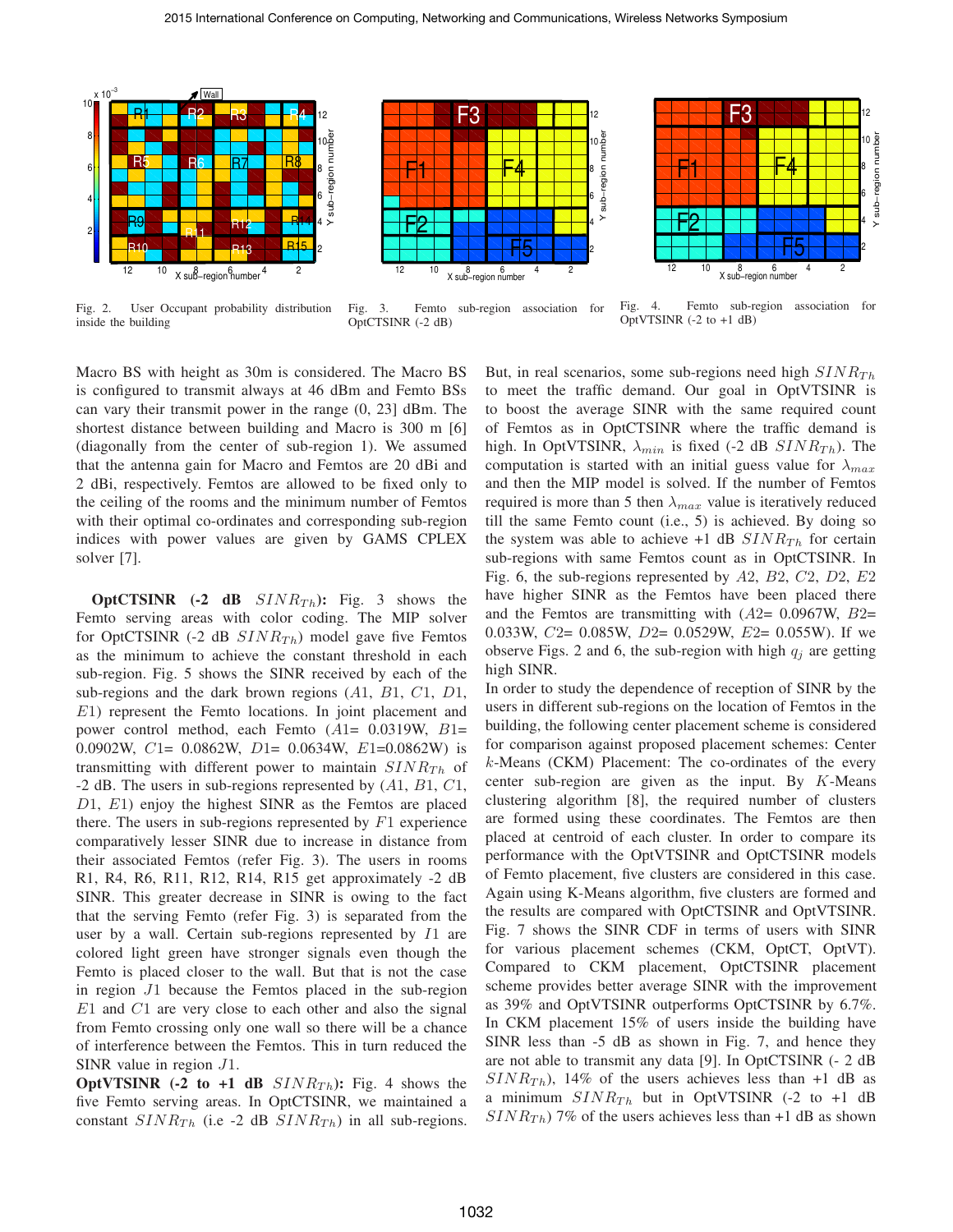

Fig. 2. User Occupant probability distribution inside the building



Fig. 3. Femto sub-region association for OptCTSINR (-2 dB)



Fig. 4. Femto sub-region association for OptVTSINR (-2 to +1 dB)

Macro BS with height as 30m is considered. The Macro BS is configured to transmit always at 46 dBm and Femto BSs can vary their transmit power in the range (0, 23] dBm. The shortest distance between building and Macro is 300 m [6] (diagonally from the center of sub-region 1). We assumed that the antenna gain for Macro and Femtos are 20 dBi and 2 dBi, respectively. Femtos are allowed to be fixed only to the ceiling of the rooms and the minimum number of Femtos with their optimal co-ordinates and corresponding sub-region indices with power values are given by GAMS CPLEX solver [7].

**OptCTSINR** (-2 **dB**  $SINR_{Th}$ ): Fig. 3 shows the Femto serving areas with color coding. The MIP solver for OptCTSINR (-2 dB  $SINR_{Th}$ ) model gave five Femtos as the minimum to achieve the constant threshold in each sub-region. Fig. 5 shows the SINR received by each of the sub-regions and the dark brown regions  $(A1, B1, C1, D1,$ <sup>E</sup>1) represent the Femto locations. In joint placement and power control method, each Femto  $(A1= 0.0319W, B1=$ 0.0902W, <sup>C</sup>1= 0.0862W, <sup>D</sup>1= 0.0634W, <sup>E</sup>1=0.0862W) is transmitting with different power to maintain  $SINR_{Th}$  of -2 dB. The users in sub-regions represented by  $(A1, B1, C1,$ <sup>D</sup>1, <sup>E</sup>1) enjoy the highest SINR as the Femtos are placed there. The users in sub-regions represented by  $F1$  experience comparatively lesser SINR due to increase in distance from their associated Femtos (refer Fig. 3). The users in rooms R1, R4, R6, R11, R12, R14, R15 get approximately -2 dB SINR. This greater decrease in SINR is owing to the fact that the serving Femto (refer Fig. 3) is separated from the user by a wall. Certain sub-regions represented by <sup>I</sup>1 are colored light green have stronger signals even though the Femto is placed closer to the wall. But that is not the case in region <sup>J</sup>1 because the Femtos placed in the sub-region <sup>E</sup>1 and <sup>C</sup>1 are very close to each other and also the signal from Femto crossing only one wall so there will be a chance of interference between the Femtos. This in turn reduced the SINR value in region <sup>J</sup>1.

**OptVTSINR** (-2 to +1 dB  $SINR_{Th}$ ): Fig. 4 shows the five Femto serving areas. In OptCTSINR, we maintained a constant  $SINR_{Th}$  (i.e -2 dB  $SINR_{Th}$ ) in all sub-regions.

But, in real scenarios, some sub-regions need high  $SINR_{Th}$ to meet the traffic demand. Our goal in OptVTSINR is to boost the average SINR with the same required count of Femtos as in OptCTSINR where the traffic demand is high. In OptVTSINR,  $\lambda_{min}$  is fixed (-2 dB  $SINR_{Th}$ ). The computation is started with an initial guess value for  $\lambda_{max}$ and then the MIP model is solved. If the number of Femtos required is more than 5 then  $\lambda_{max}$  value is iteratively reduced till the same Femto count (i.e., 5) is achieved. By doing so the system was able to achieve +1 dB  $SINR_{Th}$  for certain sub-regions with same Femtos count as in OptCTSINR. In Fig. 6, the sub-regions represented by <sup>A</sup>2, <sup>B</sup>2, <sup>C</sup>2, <sup>D</sup>2, <sup>E</sup>2 have higher SINR as the Femtos have been placed there and the Femtos are transmitting with  $(A2= 0.0967W, B2=$ 0.033W,  $C2 = 0.085W$ ,  $D2 = 0.0529W$ ,  $E2 = 0.055W$ ). If we observe Figs. 2 and 6, the sub-region with high  $q_i$  are getting high SINR.

In order to study the dependence of reception of SINR by the users in different sub-regions on the location of Femtos in the building, the following center placement scheme is considered for comparison against proposed placement schemes: Center k-Means (CKM) Placement: The co-ordinates of the every center sub-region are given as the input. By  $K$ -Means clustering algorithm [8], the required number of clusters are formed using these coordinates. The Femtos are then placed at centroid of each cluster. In order to compare its performance with the OptVTSINR and OptCTSINR models of Femto placement, five clusters are considered in this case. Again using K-Means algorithm, five clusters are formed and the results are compared with OptCTSINR and OptVTSINR. Fig. 7 shows the SINR CDF in terms of users with SINR for various placement schemes (CKM, OptCT, OptVT). Compared to CKM placement, OptCTSINR placement scheme provides better average SINR with the improvement as 39% and OptVTSINR outperforms OptCTSINR by 6.7%. In CKM placement 15% of users inside the building have SINR less than -5 dB as shown in Fig. 7, and hence they are not able to transmit any data [9]. In OptCTSINR (- 2 dB  $SINR_{Th}$ , 14% of the users achieves less than +1 dB as a minimum  $SINR_{Th}$  but in OptVTSINR (-2 to +1 dB  $SINR_{Th}$ ) 7% of the users achieves less than +1 dB as shown